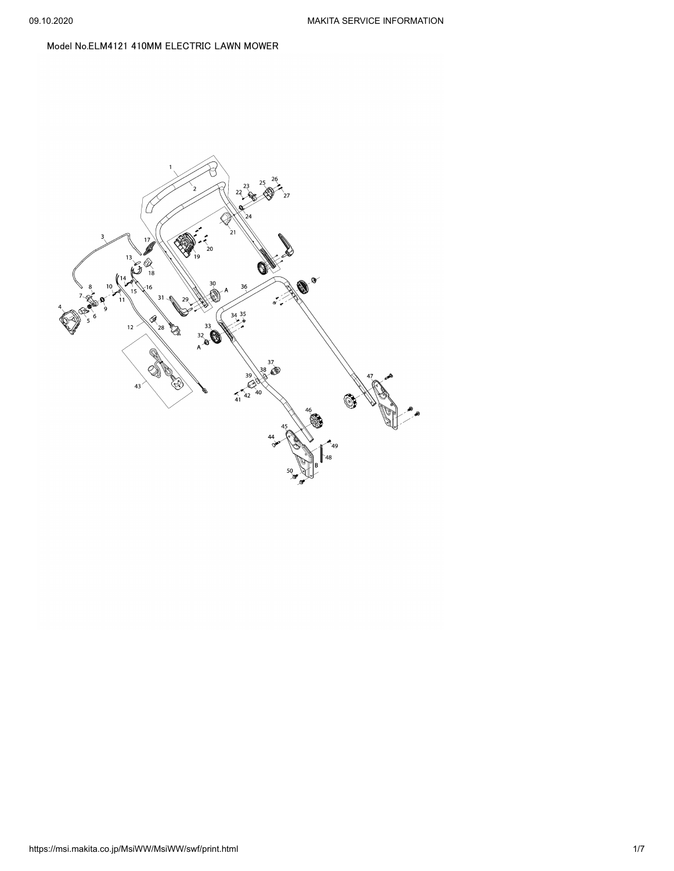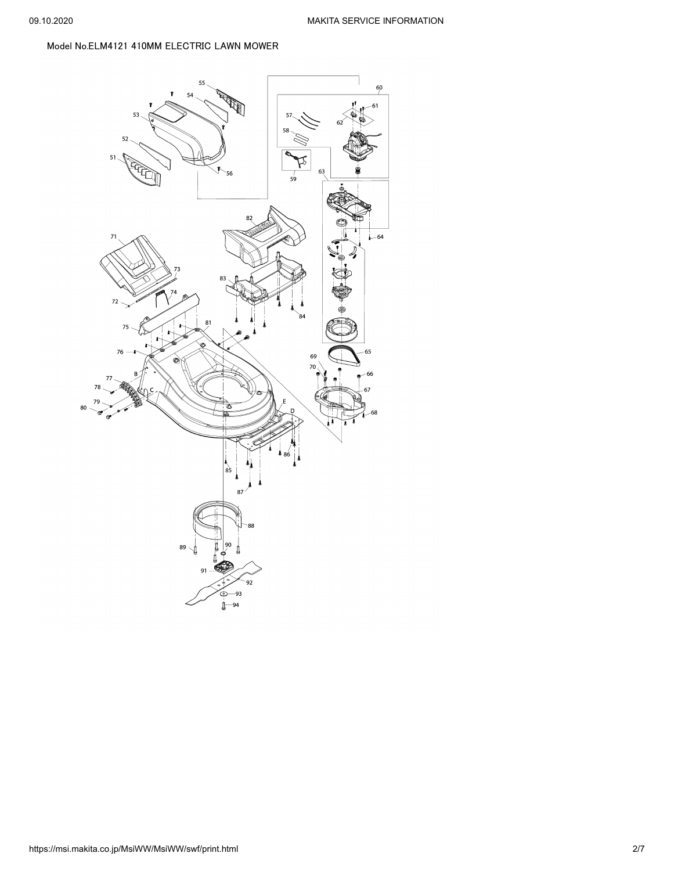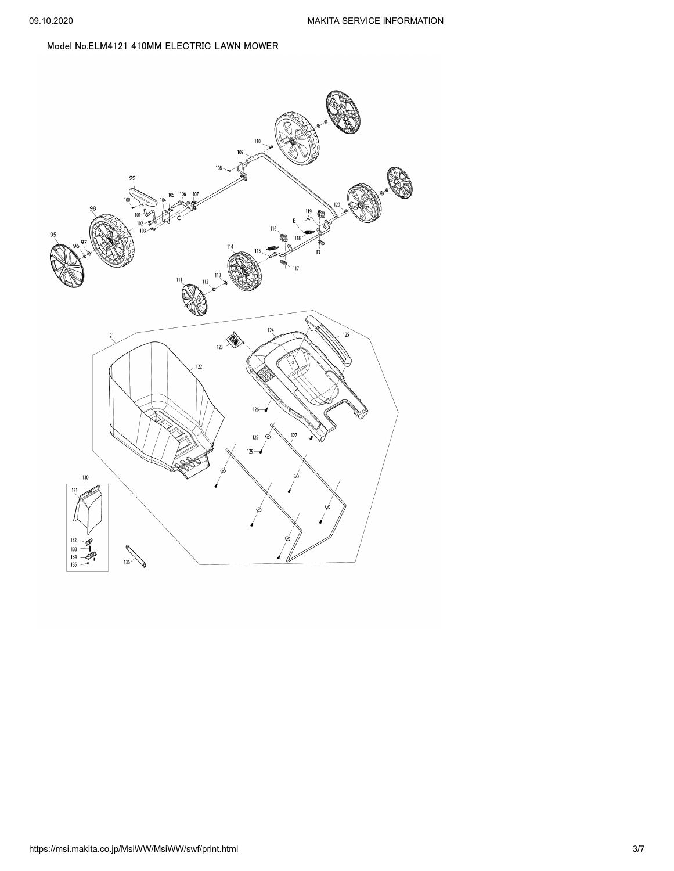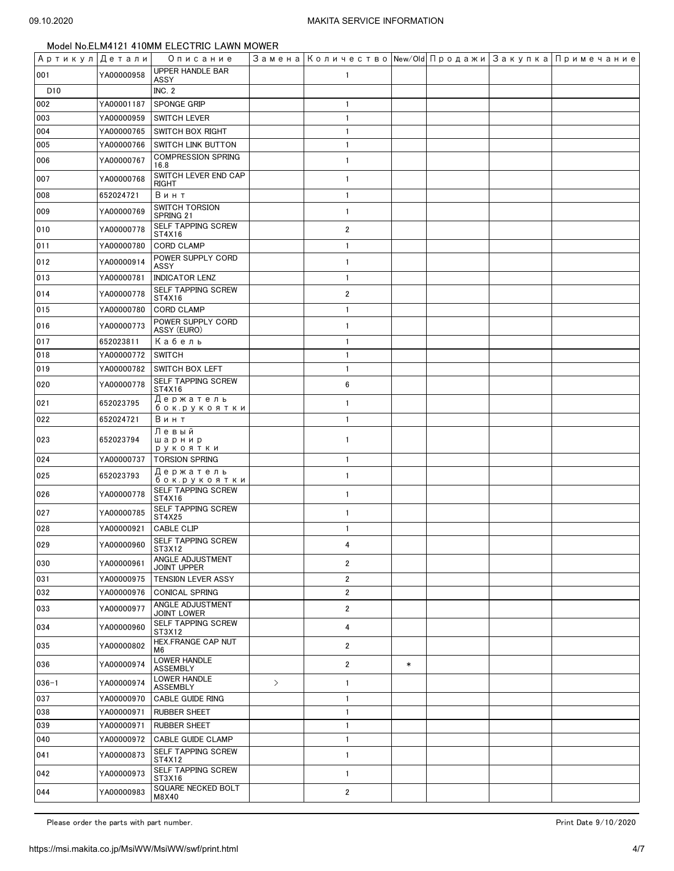|                 |            | Артикул Детали  Описание               |               |                         |        |  | Замена   Количество   New/Old   Продажи   Закупка   Примечание |
|-----------------|------------|----------------------------------------|---------------|-------------------------|--------|--|----------------------------------------------------------------|
| 001             | YA00000958 | UPPER HANDLE BAR<br>ASSY               |               | 1                       |        |  |                                                                |
| D <sub>10</sub> |            | INC. 2                                 |               |                         |        |  |                                                                |
| 002             | YA00001187 | <b>SPONGE GRIP</b>                     |               | $\mathbf{1}$            |        |  |                                                                |
| 003             | YA00000959 | <b>SWITCH LEVER</b>                    |               | $\mathbf{1}$            |        |  |                                                                |
| 004             | YA00000765 | <b>SWITCH BOX RIGHT</b>                |               | $\mathbf{1}$            |        |  |                                                                |
| 005             | YA00000766 | <b>SWITCH LINK BUTTON</b>              |               | $\mathbf{1}$            |        |  |                                                                |
| 006             | YA00000767 | <b>COMPRESSION SPRING</b><br>16.8      |               | $\mathbf{1}$            |        |  |                                                                |
| 007             | YA00000768 | SWITCH LEVER END CAP<br>RIGHT          |               | $\mathbf{1}$            |        |  |                                                                |
| 008             | 652024721  | Винт                                   |               | $\mathbf{1}$            |        |  |                                                                |
| 009             | YA00000769 | <b>SWITCH TORSION</b><br>SPRING 21     |               | $\mathbf{1}$            |        |  |                                                                |
| 010             | YA00000778 | SELF TAPPING SCREW<br>ST4X16           |               | $\overline{2}$          |        |  |                                                                |
| 011             | YA00000780 | <b>CORD CLAMP</b>                      |               | $\mathbf{1}$            |        |  |                                                                |
| 012             | YA00000914 | POWER SUPPLY CORD<br>ASSY              |               | $\mathbf{1}$            |        |  |                                                                |
| 013             | YA00000781 | <b>INDICATOR LENZ</b>                  |               | $\mathbf{1}$            |        |  |                                                                |
| 014             | YA00000778 | SELF TAPPING SCREW                     |               | $\overline{2}$          |        |  |                                                                |
|                 |            | ST4X16                                 |               |                         |        |  |                                                                |
| 015             | YA00000780 | <b>CORD CLAMP</b><br>POWER SUPPLY CORD |               | $\mathbf{1}$            |        |  |                                                                |
| 016             | YA00000773 | ASSY (EURO)                            |               | $\mathbf{1}$            |        |  |                                                                |
| 017             | 652023811  | Кабель                                 |               | $\mathbf{1}$            |        |  |                                                                |
| 018             | YA00000772 | <b>SWITCH</b>                          |               | $\mathbf{1}$            |        |  |                                                                |
| 019             | YA00000782 | <b>SWITCH BOX LEFT</b>                 |               | $\mathbf{1}$            |        |  |                                                                |
| 020             | YA00000778 | SELF TAPPING SCREW<br>ST4X16           |               | 6                       |        |  |                                                                |
| 021             | 652023795  | Держатель<br>бок.рукоятки              |               | $\mathbf{1}$            |        |  |                                                                |
| 022             | 652024721  | Винт                                   |               | $\mathbf{1}$            |        |  |                                                                |
| 023             | 652023794  | Левый<br>шарнир<br>рукоятки            |               | $\mathbf{1}$            |        |  |                                                                |
| 024             | YA00000737 | <b>TORSION SPRING</b>                  |               | $\overline{1}$          |        |  |                                                                |
| 025             | 652023793  | Держатель<br>бок.рукоятки              |               | $\mathbf{1}$            |        |  |                                                                |
| 026             | YA00000778 | SELF TAPPING SCREW<br>ST4X16           |               | $\mathbf{1}$            |        |  |                                                                |
| 027             | YA00000785 | SELF TAPPING SCREW<br>ST4X25           |               | $\mathbf{1}$            |        |  |                                                                |
| 028             | YA00000921 | <b>CABLE CLIP</b>                      |               | $\mathbf{1}$            |        |  |                                                                |
| 029             | YA00000960 | <b>SELF TAPPING SCREW</b><br>ST3X12    |               | 4                       |        |  |                                                                |
| 030             | YA00000961 | ANGLE ADJUSTMENT<br><b>JOINT UPPER</b> |               | $\overline{\mathbf{c}}$ |        |  |                                                                |
| 031             | YA00000975 | TENSION LEVER ASSY                     |               | $\overline{\mathbf{c}}$ |        |  |                                                                |
| 032             | YA00000976 | <b>CONICAL SPRING</b>                  |               | $\overline{\mathbf{c}}$ |        |  |                                                                |
| 033             | YA00000977 | ANGLE ADJUSTMENT<br>JOINT LOWER        |               | 2                       |        |  |                                                                |
| 034             | YA00000960 | SELF TAPPING SCREW<br>ST3X12           |               | 4                       |        |  |                                                                |
| 035             | YA00000802 | HEX.FRANGE CAP NUT<br>M6               |               | $\overline{\mathbf{2}}$ |        |  |                                                                |
| 036             | YA00000974 | LOWER HANDLE<br><b>ASSEMBLY</b>        |               | $\overline{2}$          | $\ast$ |  |                                                                |
| $036 - 1$       | YA00000974 | <b>LOWER HANDLE</b><br><b>ASSEMBLY</b> | $\rightarrow$ | 1                       |        |  |                                                                |
| 037             | YA00000970 | CABLE GUIDE RING                       |               | 1                       |        |  |                                                                |
| 038             | YA00000971 | <b>RUBBER SHEET</b>                    |               | $\mathbf{1}$            |        |  |                                                                |
| 039             | YA00000971 | <b>RUBBER SHEET</b>                    |               | $\mathbf{1}$            |        |  |                                                                |
| 040             | YA00000972 | <b>CABLE GUIDE CLAMP</b>               |               | $\mathbf{1}$            |        |  |                                                                |
| 041             | YA00000873 | SELF TAPPING SCREW<br>ST4X12           |               | 1                       |        |  |                                                                |
| 042             | YA00000973 | SELF TAPPING SCREW<br>ST3X16           |               | $\mathbf{1}$            |        |  |                                                                |
| 044             | YA00000983 | SQUARE NECKED BOLT<br>M8X40            |               | 2                       |        |  |                                                                |

Please order the parts with part number. The set of the set of the set of the set of the set of the set of the set of the 9/10/2020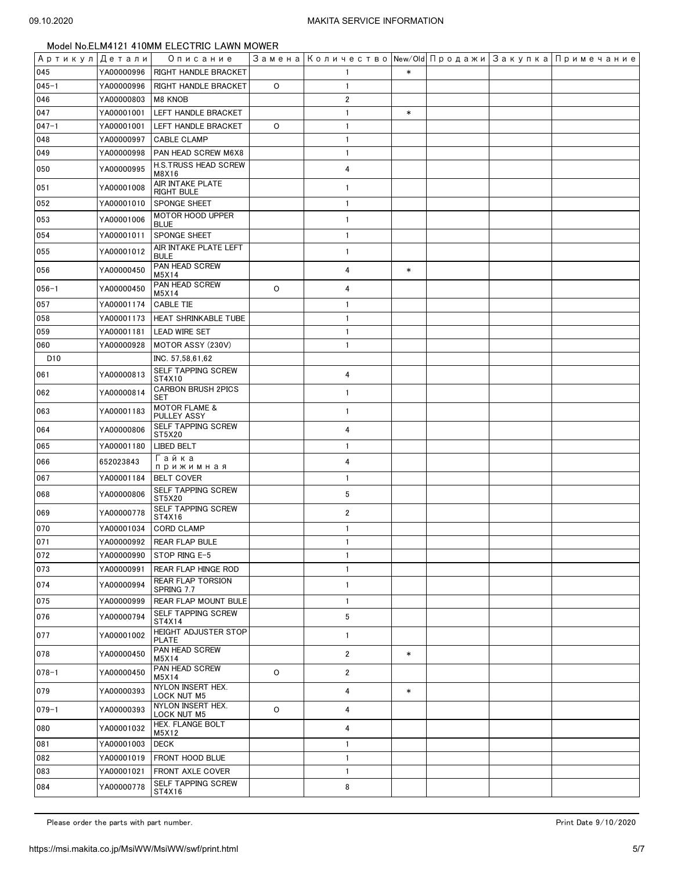| Артикул Детали  |            | Описание                                |         | Замена   Количество   New/Old   Продажи   Закупка   Примечание |        |  |  |
|-----------------|------------|-----------------------------------------|---------|----------------------------------------------------------------|--------|--|--|
| 045             | YA00000996 | <b>RIGHT HANDLE BRACKET</b>             |         |                                                                | $\ast$ |  |  |
| $045 - 1$       | YA00000996 | <b>RIGHT HANDLE BRACKET</b>             | O       | $\overline{1}$                                                 |        |  |  |
| 046             | YA00000803 | M8 KNOB                                 |         | $\overline{2}$                                                 |        |  |  |
| 047             | YA00001001 | LEFT HANDLE BRACKET                     |         | $\overline{1}$                                                 | $\ast$ |  |  |
| $047 - 1$       | YA00001001 | LEFT HANDLE BRACKET                     | $\circ$ | $\overline{1}$                                                 |        |  |  |
| 048             | YA00000997 | <b>CABLE CLAMP</b>                      |         | $\overline{1}$                                                 |        |  |  |
| 049             | YA00000998 | PAN HEAD SCREW M6X8                     |         | $\overline{1}$                                                 |        |  |  |
| 050             | YA00000995 | H.S.TRUSS HEAD SCREW<br>M8X16           |         | 4                                                              |        |  |  |
| 051             | YA00001008 | AIR INTAKE PLATE<br><b>RIGHT BULE</b>   |         | $\mathbf{1}$                                                   |        |  |  |
| 052             | YA00001010 | SPONGE SHEET                            |         | $\overline{1}$                                                 |        |  |  |
| 053             | YA00001006 | MOTOR HOOD UPPER<br><b>BLUE</b>         |         | $\overline{1}$                                                 |        |  |  |
| 054             | YA00001011 | SPONGE SHEET                            |         | $\overline{1}$                                                 |        |  |  |
| 055             | YA00001012 | AIR INTAKE PLATE LEFT<br><b>BULE</b>    |         | $\mathbf{1}$                                                   |        |  |  |
| 056             | YA00000450 | PAN HEAD SCREW<br>M5X14                 |         | 4                                                              | $\ast$ |  |  |
| $056 - 1$       | YA00000450 | PAN HEAD SCREW<br>M5X14                 | $\circ$ | 4                                                              |        |  |  |
| 057             | YA00001174 | <b>CABLE TIE</b>                        |         | $\overline{1}$                                                 |        |  |  |
| 058             | YA00001173 | HEAT SHRINKABLE TUBE                    |         | $\overline{1}$                                                 |        |  |  |
| 059             | YA00001181 | <b>LEAD WIRE SET</b>                    |         | $\mathbf{1}$                                                   |        |  |  |
| 060             | YA00000928 | MOTOR ASSY (230V)                       |         | $\overline{1}$                                                 |        |  |  |
| D <sub>10</sub> |            | INC. 57,58,61,62                        |         |                                                                |        |  |  |
| 061             | YA00000813 | SELF TAPPING SCREW<br>ST4X10            |         | 4                                                              |        |  |  |
| 062             | YA00000814 | <b>CARBON BRUSH 2PICS</b><br>SET        |         | $\overline{1}$                                                 |        |  |  |
| 063             | YA00001183 | <b>MOTOR FLAME &amp;</b><br>PULLEY ASSY |         | $\mathbf{1}$                                                   |        |  |  |
| 064             | YA00000806 | SELF TAPPING SCREW<br>ST5X20            |         | 4                                                              |        |  |  |
| 065             | YA00001180 | <b>LIBED BELT</b>                       |         | $\overline{1}$                                                 |        |  |  |
| 066             | 652023843  | Гайка<br>прижимная                      |         | 4                                                              |        |  |  |
| 067             | YA00001184 | <b>BELT COVER</b>                       |         | $\mathbf{1}$                                                   |        |  |  |
| 068             | YA00000806 | SELF TAPPING SCREW<br>ST5X20            |         | 5                                                              |        |  |  |
| 069             | YA00000778 | <b>SELF TAPPING SCREW</b><br>ST4X16     |         | $\overline{2}$                                                 |        |  |  |
| 070             | YA00001034 | <b>CORD CLAMP</b>                       |         | $\overline{1}$                                                 |        |  |  |
| 071             |            | YA00000992 REAR FLAP BULE               |         | $\mathbf{1}$                                                   |        |  |  |
| 072             | YA00000990 | STOP RING E-5                           |         | $\mathbf{1}$                                                   |        |  |  |
| 073             | YA00000991 | REAR FLAP HINGE ROD                     |         | $\mathbf{1}$                                                   |        |  |  |
| 074             | YA00000994 | <b>REAR FLAP TORSION</b><br>SPRING 7.7  |         | $\mathbf{1}$                                                   |        |  |  |
| 075             | YA00000999 | REAR FLAP MOUNT BULE                    |         | $\overline{1}$                                                 |        |  |  |
| 076             | YA00000794 | SELF TAPPING SCREW<br>ST4X14            |         | 5                                                              |        |  |  |
| 077             | YA00001002 | <b>HEIGHT ADJUSTER STOP</b><br>PLATE    |         | $\mathbf{1}$                                                   |        |  |  |
| 078             | YA00000450 | PAN HEAD SCREW<br>M5X14                 |         | $\overline{2}$                                                 | $\ast$ |  |  |
| $078 - 1$       | YA00000450 | PAN HEAD SCREW<br>M5X14                 | O       | $\overline{\mathbf{c}}$                                        |        |  |  |
| 079             | YA00000393 | NYLON INSERT HEX.<br><b>LOCK NUT M5</b> |         | 4                                                              | $\ast$ |  |  |
| $079 - 1$       | YA00000393 | NYLON INSERT HEX.<br><b>LOCK NUT M5</b> | $\circ$ | 4                                                              |        |  |  |
| 080             | YA00001032 | HEX. FLANGE BOLT<br>M5X12               |         | 4                                                              |        |  |  |
| 081             | YA00001003 | <b>DECK</b>                             |         | $\overline{1}$                                                 |        |  |  |
| 082             | YA00001019 | <b>FRONT HOOD BLUE</b>                  |         | $\overline{1}$                                                 |        |  |  |
| 083             | YA00001021 | FRONT AXLE COVER                        |         | $\overline{1}$                                                 |        |  |  |
| 084             | YA00000778 | SELF TAPPING SCREW<br>ST4X16            |         | 8                                                              |        |  |  |

Please order the parts with part number. The set of the set of the set of the set of the set of the set of the set of the 9/10/2020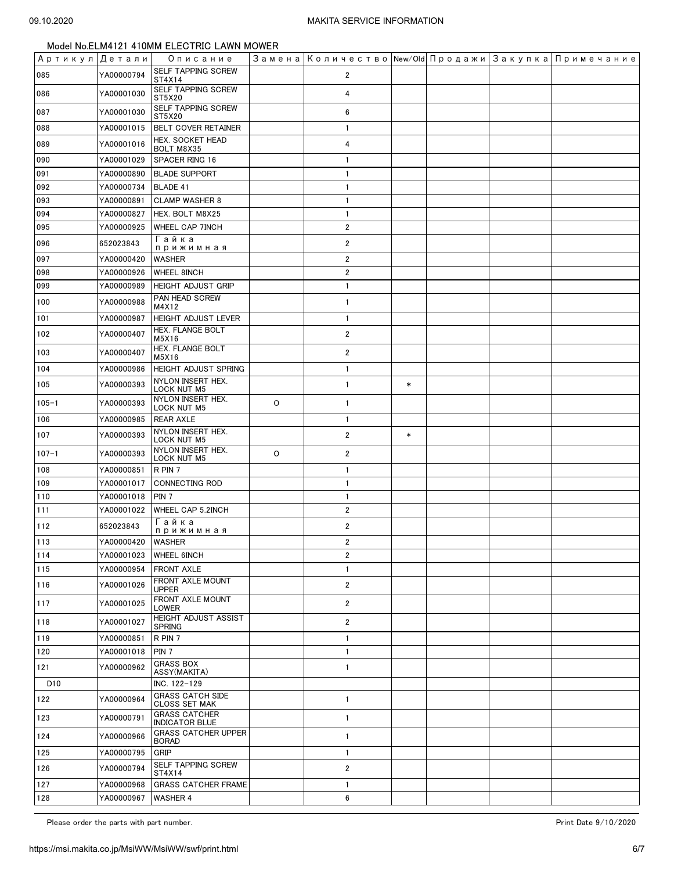| Артикул Детали  |                   | Описание                                        |   | Замена   Количество   New/Old   Продажи   Закупка   Примечание |        |  |  |
|-----------------|-------------------|-------------------------------------------------|---|----------------------------------------------------------------|--------|--|--|
| 085             | YA00000794        | <b>SELF TAPPING SCREW</b><br>ST4X14             |   | 2                                                              |        |  |  |
| 086             | YA00001030        | SELF TAPPING SCREW<br>ST5X20                    |   | 4                                                              |        |  |  |
| 087             | YA00001030        | SELF TAPPING SCREW<br>ST5X20                    |   | 6                                                              |        |  |  |
| 088             | YA00001015        | BELT COVER RETAINER                             |   | $\mathbf{1}$                                                   |        |  |  |
| 089             | YA00001016        | HEX. SOCKET HEAD<br>BOLT M8X35                  |   | 4                                                              |        |  |  |
| 090             | YA00001029        | SPACER RING 16                                  |   | $\mathbf{1}$                                                   |        |  |  |
| 091             | YA00000890        | <b>BLADE SUPPORT</b>                            |   | $\mathbf{1}$                                                   |        |  |  |
| 092             | YA00000734        | <b>BLADE 41</b>                                 |   | $\mathbf{1}$                                                   |        |  |  |
| 093             | YA00000891        | <b>CLAMP WASHER 8</b>                           |   | $\mathbf{1}$                                                   |        |  |  |
| 094             | YA00000827        | HEX. BOLT M8X25                                 |   | $\mathbf{1}$                                                   |        |  |  |
| 095             | YA00000925        | WHEEL CAP 7INCH                                 |   | $\overline{2}$                                                 |        |  |  |
| 096             | 652023843         | Гайка<br>прижимная                              |   | $\overline{2}$                                                 |        |  |  |
| 097             | YA00000420        | WASHER                                          |   | $\overline{2}$                                                 |        |  |  |
| 098             | YA00000926        | <b>WHEEL 8INCH</b>                              |   | $\overline{2}$                                                 |        |  |  |
| 099             | YA00000989        | <b>HEIGHT ADJUST GRIP</b>                       |   | $\mathbf{1}$                                                   |        |  |  |
| 100             | YA00000988        | PAN HEAD SCREW<br>M4X12                         |   | $\mathbf{1}$                                                   |        |  |  |
| 101             | YA00000987        | <b>HEIGHT ADJUST LEVER</b>                      |   | $\mathbf{1}$                                                   |        |  |  |
| 102             | YA00000407        | HEX. FLANGE BOLT<br>M5X16                       |   | $\overline{2}$                                                 |        |  |  |
| 103             | YA00000407        | HEX. FLANGE BOLT<br>M5X16                       |   | $\overline{2}$                                                 |        |  |  |
| 104             | YA00000986        | HEIGHT ADJUST SPRING                            |   | $\mathbf{1}$                                                   |        |  |  |
| 105             | YA00000393        | NYLON INSERT HEX.<br>LOCK NUT M5                |   | $\mathbf{1}$                                                   | $\ast$ |  |  |
| $105 - 1$       | YA00000393        | NYLON INSERT HEX.<br>LOCK NUT M5                | 0 | $\mathbf{1}$                                                   |        |  |  |
| 106             | YA00000985        | <b>REAR AXLE</b>                                |   | $\mathbf{1}$                                                   |        |  |  |
| 107             | YA00000393        | NYLON INSERT HEX.<br><b>LOCK NUT M5</b>         |   | $\overline{2}$                                                 | $\ast$ |  |  |
| $107 - 1$       | YA00000393        | NYLON INSERT HEX.<br><b>LOCK NUT M5</b>         | 0 | $\overline{2}$                                                 |        |  |  |
| 108             | YA00000851        | R PIN 7                                         |   | $\mathbf{1}$                                                   |        |  |  |
| 109             | YA00001017        | <b>CONNECTING ROD</b>                           |   | $\mathbf{1}$                                                   |        |  |  |
| 110             | YA00001018        | PIN 7                                           |   | $\mathbf{1}$                                                   |        |  |  |
| 111             | YA00001022        | WHEEL CAP 5.2INCH                               |   | $\overline{2}$                                                 |        |  |  |
| 112             | 652023843         | Гайка<br>прижимная                              |   | 2                                                              |        |  |  |
| 113             | YA00000420 WASHER |                                                 |   | $\overline{2}$                                                 |        |  |  |
| 114             | YA00001023        | <b>WHEEL 6INCH</b>                              |   | $\overline{\mathbf{2}}$                                        |        |  |  |
| 115             | YA00000954        | FRONT AXLE                                      |   | $\mathbf{1}$                                                   |        |  |  |
| 116             | YA00001026        | FRONT AXLE MOUNT<br><b>UPPER</b>                |   | $\overline{2}$                                                 |        |  |  |
| 117             | YA00001025        | FRONT AXLE MOUNT<br>LOWER                       |   | $\overline{\mathbf{2}}$                                        |        |  |  |
| 118             | YA00001027        | HEIGHT ADJUST ASSIST<br><b>SPRING</b>           |   | $\overline{2}$                                                 |        |  |  |
| 119             | YA00000851        | R PIN 7                                         |   | 1                                                              |        |  |  |
| 120             | YA00001018        | PIN <sub>7</sub>                                |   | $\mathbf{1}$                                                   |        |  |  |
| 121             | YA00000962        | <b>GRASS BOX</b><br>ASSY(MAKITA)                |   | $\mathbf{1}$                                                   |        |  |  |
| D <sub>10</sub> |                   | INC. 122-129                                    |   |                                                                |        |  |  |
| 122             | YA00000964        | <b>GRASS CATCH SIDE</b><br><b>CLOSS SET MAK</b> |   | $\mathbf{1}$                                                   |        |  |  |
| 123             | YA00000791        | <b>GRASS CATCHER</b><br><b>INDICATOR BLUE</b>   |   | 1                                                              |        |  |  |
| 124             | YA00000966        | <b>GRASS CATCHER UPPER</b><br><b>BORAD</b>      |   | 1                                                              |        |  |  |
| 125             | YA00000795        | GRIP                                            |   | $\mathbf{1}$                                                   |        |  |  |
| 126             | YA00000794        | SELF TAPPING SCREW<br>ST4X14                    |   | $\overline{\mathbf{2}}$                                        |        |  |  |
| 127             | YA00000968        | <b>GRASS CATCHER FRAME</b>                      |   | $\mathbf{1}$                                                   |        |  |  |
| 128             | YA00000967        | <b>WASHER 4</b>                                 |   | 6                                                              |        |  |  |

Please order the parts with part number. The set of the set of the set of the set of the set of the set of the set of the 9/10/2020